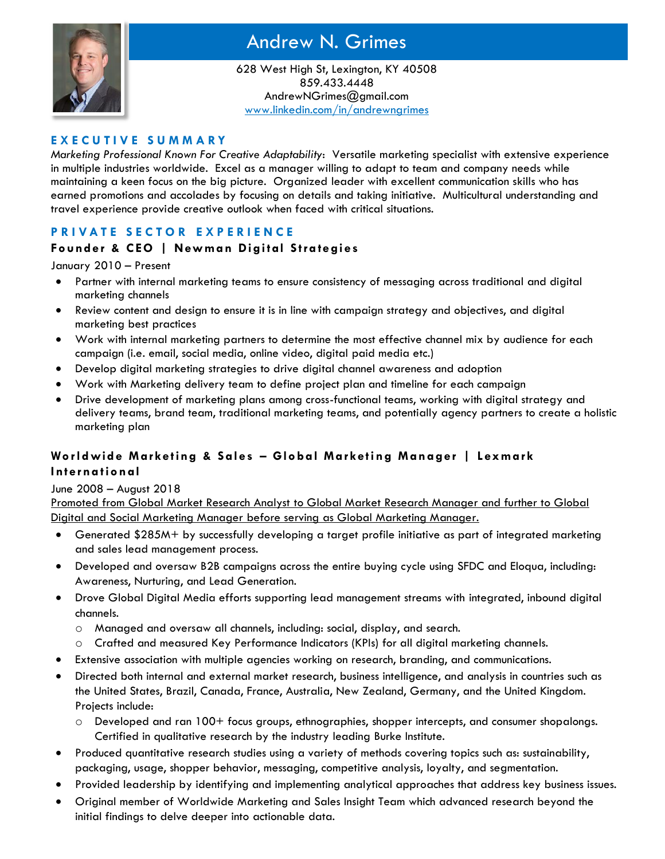

# Andrew N. Grimes

628 West High St, Lexington, KY 40508 859.433.4448 AndrewNGrimes@gmail.com [www.linkedin.com/in/andrewngrimes](http://www.linkedin.com/in/andrewngrimes)

#### **E X E C U T I V E S U M M A R Y**

*Marketing Professional Known For Creative Adaptability*: Versatile marketing specialist with extensive experience in multiple industries worldwide. Excel as a manager willing to adapt to team and company needs while maintaining a keen focus on the big picture. Organized leader with excellent communication skills who has earned promotions and accolades by focusing on details and taking initiative. Multicultural understanding and travel experience provide creative outlook when faced with critical situations.

## **P R I V A T E S E C T O R E X P E R I E N C E**

### **Founder & CEO** | Newman Digital Strategies

#### January 2010 – Present

- Partner with internal marketing teams to ensure consistency of messaging across traditional and digital marketing channels
- Review content and design to ensure it is in line with campaign strategy and objectives, and digital marketing best practices
- Work with internal marketing partners to determine the most effective channel mix by audience for each campaign (i.e. email, social media, online video, digital paid media etc.)
- Develop digital marketing strategies to drive digital channel awareness and adoption
- Work with Marketing delivery team to define project plan and timeline for each campaign
- Drive development of marketing plans among cross-functional teams, working with digital strategy and delivery teams, brand team, traditional marketing teams, and potentially agency partners to create a holistic marketing plan

## **Worldwide Marketing & Sales - Global Marketing Manager | Lexmark I nt ern a t io n al**

#### June 2008 – August 2018

Promoted from Global Market Research Analyst to Global Market Research Manager and further to Global Digital and Social Marketing Manager before serving as Global Marketing Manager.

- Generated \$285M+ by successfully developing a target profile initiative as part of integrated marketing and sales lead management process.
- Developed and oversaw B2B campaigns across the entire buying cycle using SFDC and Eloqua, including: Awareness, Nurturing, and Lead Generation.
- Drove Global Digital Media efforts supporting lead management streams with integrated, inbound digital channels.
	- o Managed and oversaw all channels, including: social, display, and search.
	- o Crafted and measured Key Performance Indicators (KPIs) for all digital marketing channels.
- Extensive association with multiple agencies working on research, branding, and communications.
- Directed both internal and external market research, business intelligence, and analysis in countries such as the United States, Brazil, Canada, France, Australia, New Zealand, Germany, and the United Kingdom. Projects include:
	- o Developed and ran 100+ focus groups, ethnographies, shopper intercepts, and consumer shopalongs. Certified in qualitative research by the industry leading Burke Institute.
- Produced quantitative research studies using a variety of methods covering topics such as: sustainability, packaging, usage, shopper behavior, messaging, competitive analysis, loyalty, and segmentation.
- Provided leadership by identifying and implementing analytical approaches that address key business issues.
- Original member of Worldwide Marketing and Sales Insight Team which advanced research beyond the initial findings to delve deeper into actionable data.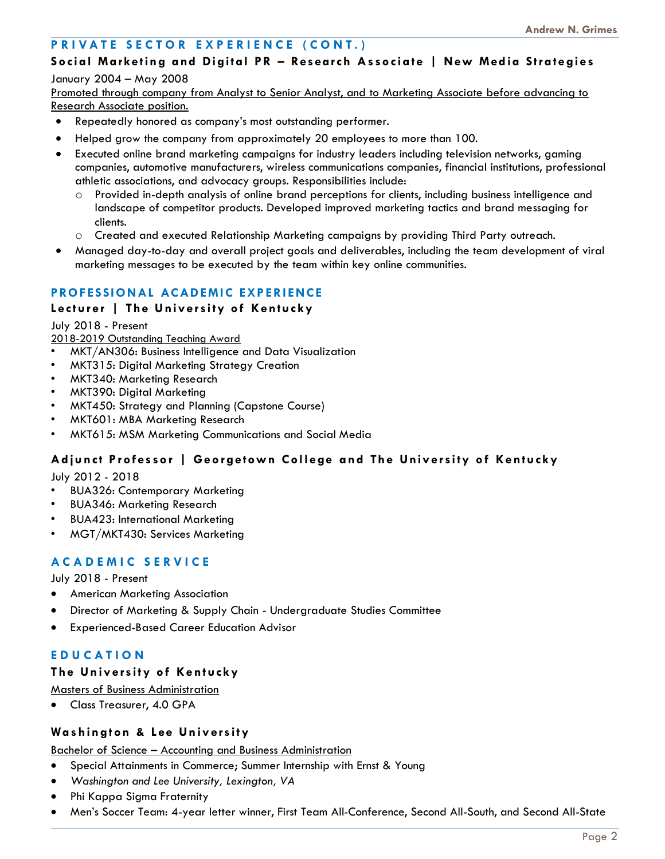## **PRIVATE SECTOR EXPERIENCE (CONT.)**

# **So ci al Market in g and Di git al P R – Res earch As so ci a t e | New Med i a St ra t e gi es**

#### January 2004 – May 2008

Promoted through company from Analyst to Senior Analyst, and to Marketing Associate before advancing to Research Associate position.

- Repeatedly honored as company's most outstanding performer.
- Helped grow the company from approximately 20 employees to more than 100.
- Executed online brand marketing campaigns for industry leaders including television networks, gaming companies, automotive manufacturers, wireless communications companies, financial institutions, professional athletic associations, and advocacy groups. Responsibilities include:
	- o Provided in-depth analysis of online brand perceptions for clients, including business intelligence and landscape of competitor products. Developed improved marketing tactics and brand messaging for clients.
	- o Created and executed Relationship Marketing campaigns by providing Third Party outreach.
- Managed day-to-day and overall project goals and deliverables, including the team development of viral marketing messages to be executed by the team within key online communities.

## **PROFESSIONAL ACADEMIC EXPERIENCE**

#### **L ect u r er | Th e U niv ersi ty o f Kentu cky**

July 2018 - Present

2018-2019 Outstanding Teaching Award

- MKT/AN306: Business Intelligence and Data Visualization
- MKT315: Digital Marketing Strategy Creation
- MKT340: Marketing Research
- MKT390: Digital Marketing
- MKT450: Strategy and Planning (Capstone Course)
- MKT601: MBA Marketing Research
- MKT615: MSM Marketing Communications and Social Media

## **Adjunct Professor | Georgetown College and The University of Kentucky**

July 2012 - 2018

- BUA326: Contemporary Marketing
- BUA346: Marketing Research
- BUA423: International Marketing
- MGT/MKT430: Services Marketing

## **A C A D E M I C S E R V I C E**

July 2018 - Present

- American Marketing Association
- Director of Marketing & Supply Chain Undergraduate Studies Committee
- Experienced-Based Career Education Advisor

## **E D U C A T I O N**

#### **The University of Kentucky**

Masters of Business Administration

• Class Treasurer, 4.0 GPA

#### **Was h in gt on & L ee Un iv ers it y**

#### Bachelor of Science – Accounting and Business Administration

- Special Attainments in Commerce; Summer Internship with Ernst & Young
- *Washington and Lee University, Lexington, VA*
- Phi Kappa Sigma Fraternity
- Men's Soccer Team: 4-year letter winner, First Team All-Conference, Second All-South, and Second All-State